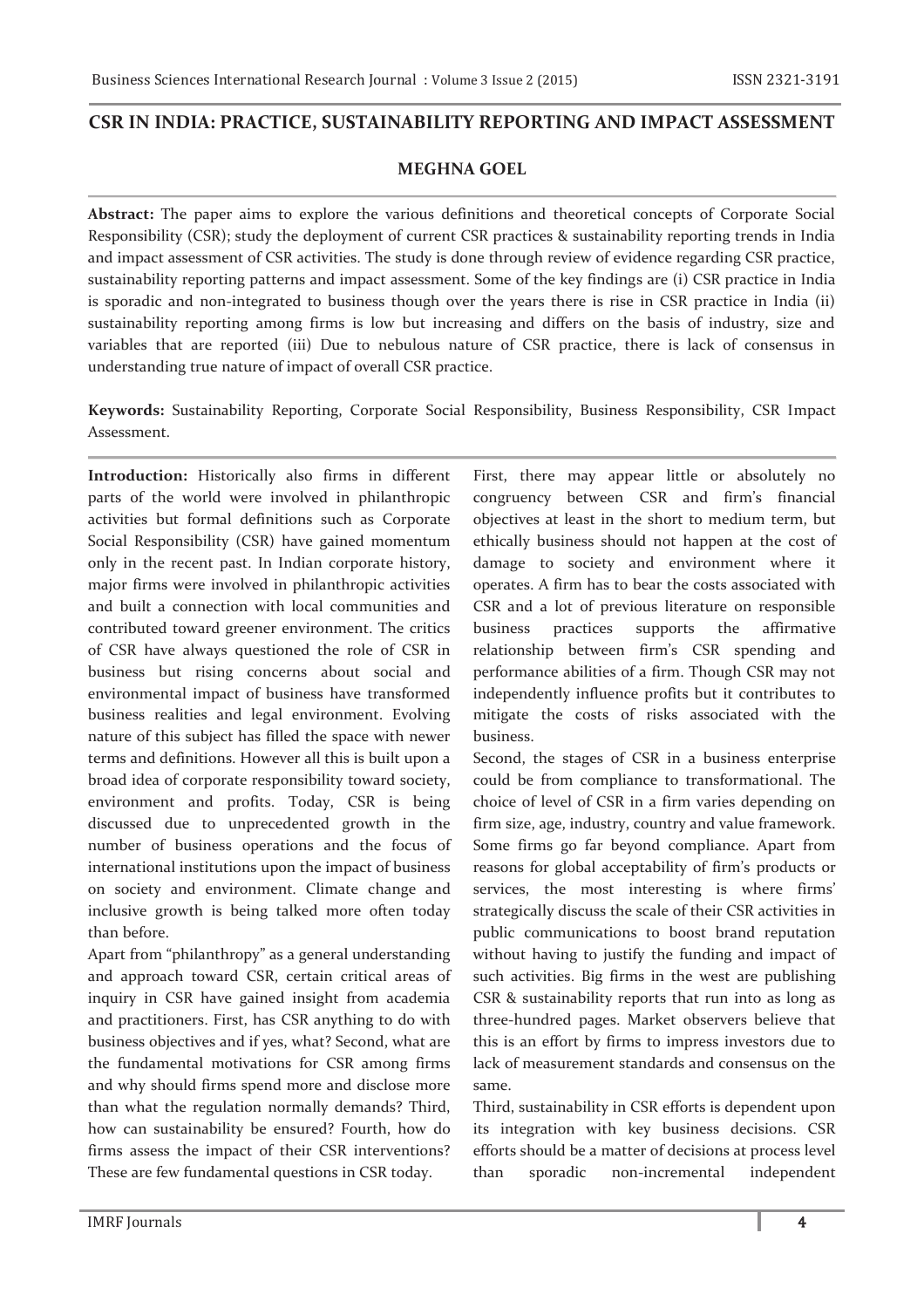## **CSR IN INDIA: PRACTICE, SUSTAINABILITY REPORTING AND IMPACT ASSESSMENT**

# **MEGHNA GOEL**

**Abstract:** The paper aims to explore the various definitions and theoretical concepts of Corporate Social Responsibility (CSR); study the deployment of current CSR practices & sustainability reporting trends in India and impact assessment of CSR activities. The study is done through review of evidence regarding CSR practice, sustainability reporting patterns and impact assessment. Some of the key findings are (i) CSR practice in India is sporadic and non-integrated to business though over the years there is rise in CSR practice in India (ii) sustainability reporting among firms is low but increasing and differs on the basis of industry, size and variables that are reported (iii) Due to nebulous nature of CSR practice, there is lack of consensus in understanding true nature of impact of overall CSR practice.

**Keywords:** Sustainability Reporting, Corporate Social Responsibility, Business Responsibility, CSR Impact Assessment.

**Introduction:** Historically also firms in different parts of the world were involved in philanthropic activities but formal definitions such as Corporate Social Responsibility (CSR) have gained momentum only in the recent past. In Indian corporate history, major firms were involved in philanthropic activities and built a connection with local communities and contributed toward greener environment. The critics of CSR have always questioned the role of CSR in business but rising concerns about social and environmental impact of business have transformed business realities and legal environment. Evolving nature of this subject has filled the space with newer terms and definitions. However all this is built upon a broad idea of corporate responsibility toward society, environment and profits. Today, CSR is being discussed due to unprecedented growth in the number of business operations and the focus of international institutions upon the impact of business on society and environment. Climate change and inclusive growth is being talked more often today than before.

Apart from "philanthropy" as a general understanding and approach toward CSR, certain critical areas of inquiry in CSR have gained insight from academia and practitioners. First, has CSR anything to do with business objectives and if yes, what? Second, what are the fundamental motivations for CSR among firms and why should firms spend more and disclose more than what the regulation normally demands? Third, how can sustainability be ensured? Fourth, how do firms assess the impact of their CSR interventions? These are few fundamental questions in CSR today.

First, there may appear little or absolutely no congruency between CSR and firm's financial objectives at least in the short to medium term, but ethically business should not happen at the cost of damage to society and environment where it operates. A firm has to bear the costs associated with CSR and a lot of previous literature on responsible business practices supports the affirmative relationship between firm's CSR spending and performance abilities of a firm. Though CSR may not independently influence profits but it contributes to mitigate the costs of risks associated with the business.

Second, the stages of CSR in a business enterprise could be from compliance to transformational. The choice of level of CSR in a firm varies depending on firm size, age, industry, country and value framework. Some firms go far beyond compliance. Apart from reasons for global acceptability of firm's products or services, the most interesting is where firms' strategically discuss the scale of their CSR activities in public communications to boost brand reputation without having to justify the funding and impact of such activities. Big firms in the west are publishing CSR & sustainability reports that run into as long as three-hundred pages. Market observers believe that this is an effort by firms to impress investors due to lack of measurement standards and consensus on the same.

Third, sustainability in CSR efforts is dependent upon its integration with key business decisions. CSR efforts should be a matter of decisions at process level than sporadic non-incremental independent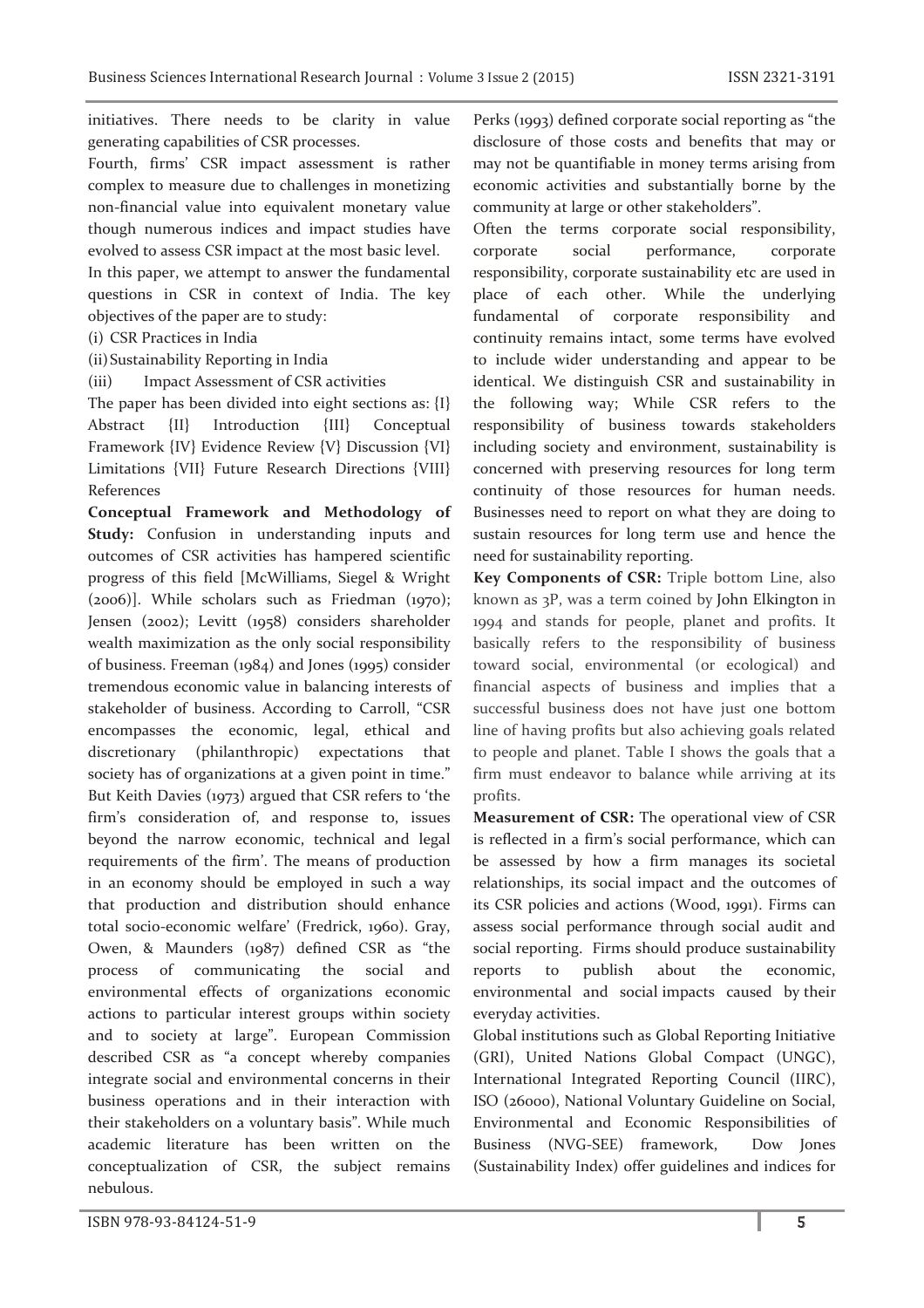initiatives. There needs to be clarity in value generating capabilities of CSR processes.

Fourth, firms' CSR impact assessment is rather complex to measure due to challenges in monetizing non-financial value into equivalent monetary value though numerous indices and impact studies have evolved to assess CSR impact at the most basic level.

In this paper, we attempt to answer the fundamental questions in CSR in context of India. The key objectives of the paper are to study:

(i) CSR Practices in India

(ii)Sustainability Reporting in India

(iii) Impact Assessment of CSR activities

The paper has been divided into eight sections as: {I} Abstract {II} Introduction {III} Conceptual Framework {IV} Evidence Review {V} Discussion {VI} Limitations {VII} Future Research Directions {VIII} References

**Conceptual Framework and Methodology of Study:** Confusion in understanding inputs and outcomes of CSR activities has hampered scientific progress of this field [McWilliams, Siegel & Wright (2006)]. While scholars such as Friedman (1970); Jensen (2002); Levitt (1958) considers shareholder wealth maximization as the only social responsibility of business. Freeman (1984) and Jones (1995) consider tremendous economic value in balancing interests of stakeholder of business. According to Carroll, "CSR encompasses the economic, legal, ethical and discretionary (philanthropic) expectations that society has of organizations at a given point in time." But Keith Davies (1973) argued that CSR refers to 'the firm's consideration of, and response to, issues beyond the narrow economic, technical and legal requirements of the firm'. The means of production in an economy should be employed in such a way that production and distribution should enhance total socio-economic welfare' (Fredrick, 1960). Gray, Owen, & Maunders (1987) defined CSR as "the process of communicating the social and environmental effects of organizations economic actions to particular interest groups within society and to society at large". European Commission described CSR as "a concept whereby companies integrate social and environmental concerns in their business operations and in their interaction with their stakeholders on a voluntary basis". While much academic literature has been written on the conceptualization of CSR, the subject remains nebulous.

Perks (1993) defined corporate social reporting as "the disclosure of those costs and benefits that may or may not be quantifiable in money terms arising from economic activities and substantially borne by the community at large or other stakeholders".

Often the terms corporate social responsibility, corporate social performance, corporate responsibility, corporate sustainability etc are used in place of each other. While the underlying fundamental of corporate responsibility and continuity remains intact, some terms have evolved to include wider understanding and appear to be identical. We distinguish CSR and sustainability in the following way; While CSR refers to the responsibility of business towards stakeholders including society and environment, sustainability is concerned with preserving resources for long term continuity of those resources for human needs. Businesses need to report on what they are doing to sustain resources for long term use and hence the need for sustainability reporting.

**Key Components of CSR:** Triple bottom Line, also known as 3P, was a term coined by John Elkington in 1994 and stands for people, planet and profits. It basically refers to the responsibility of business toward social, environmental (or ecological) and financial aspects of business and implies that a successful business does not have just one bottom line of having profits but also achieving goals related to people and planet. Table I shows the goals that a firm must endeavor to balance while arriving at its profits.

**Measurement of CSR:** The operational view of CSR is reflected in a firm's social performance, which can be assessed by how a firm manages its societal relationships, its social impact and the outcomes of its CSR policies and actions (Wood, 1991). Firms can assess social performance through social audit and social reporting. Firms should produce sustainability reports to publish about the economic, environmental and social impacts caused by their everyday activities.

Global institutions such as Global Reporting Initiative (GRI), United Nations Global Compact (UNGC), International Integrated Reporting Council (IIRC), ISO (26000), National Voluntary Guideline on Social, Environmental and Economic Responsibilities of Business (NVG-SEE) framework, Dow Jones (Sustainability Index) offer guidelines and indices for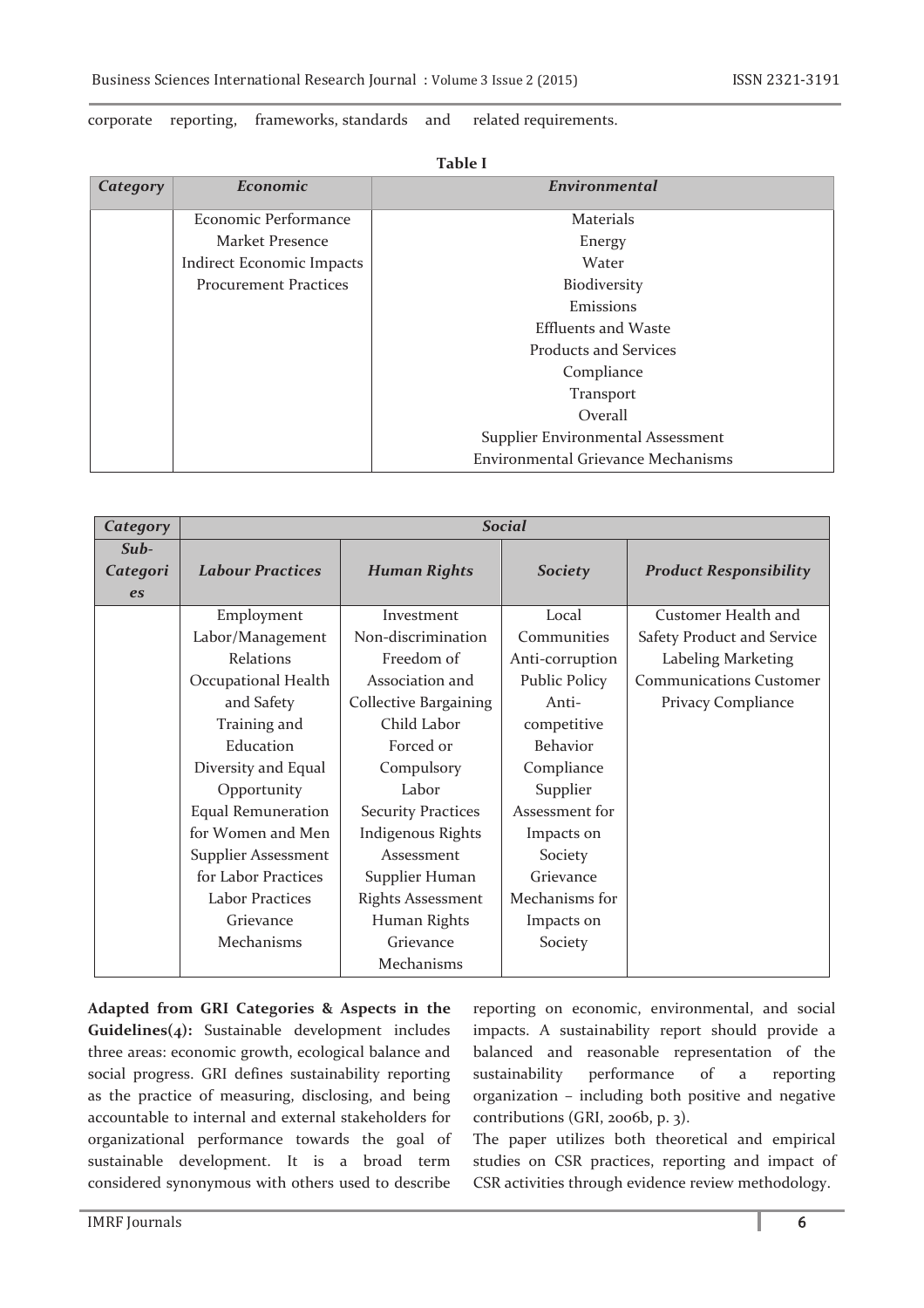### corporate reporting, frameworks, standards and related requirements.

| Category | Economic                     | Environmental                      |  |  |
|----------|------------------------------|------------------------------------|--|--|
|          | Economic Performance         | <b>Materials</b>                   |  |  |
|          | Market Presence              | Energy                             |  |  |
|          | Indirect Economic Impacts    | Water                              |  |  |
|          | <b>Procurement Practices</b> | Biodiversity                       |  |  |
|          |                              | Emissions                          |  |  |
|          |                              | <b>Effluents and Waste</b>         |  |  |
|          |                              | Products and Services              |  |  |
|          |                              | Compliance                         |  |  |
|          |                              | Transport                          |  |  |
|          |                              | Overall                            |  |  |
|          |                              | Supplier Environmental Assessment  |  |  |
|          |                              | Environmental Grievance Mechanisms |  |  |

**Table I**

| Category                      | <b>Social</b>              |                              |                      |                                |  |
|-------------------------------|----------------------------|------------------------------|----------------------|--------------------------------|--|
| Sub-<br>Categori<br><b>es</b> | <b>Labour Practices</b>    | <b>Human Rights</b>          | <b>Society</b>       | <b>Product Responsibility</b>  |  |
|                               | Employment                 | Investment                   | Local                | Customer Health and            |  |
|                               | Labor/Management           | Non-discrimination           | Communities          | Safety Product and Service     |  |
|                               | Relations                  | Freedom of                   | Anti-corruption      | Labeling Marketing             |  |
|                               | Occupational Health        | Association and              | <b>Public Policy</b> | <b>Communications Customer</b> |  |
|                               | and Safety                 | <b>Collective Bargaining</b> | Anti-                | Privacy Compliance             |  |
|                               | Training and               | Child Labor                  | competitive          |                                |  |
|                               | Education                  | Forced or                    | Behavior             |                                |  |
|                               | Diversity and Equal        | Compulsory                   | Compliance           |                                |  |
|                               | Opportunity                | Labor                        | Supplier             |                                |  |
|                               | <b>Equal Remuneration</b>  | <b>Security Practices</b>    | Assessment for       |                                |  |
|                               | for Women and Men          | <b>Indigenous Rights</b>     | Impacts on           |                                |  |
|                               | <b>Supplier Assessment</b> | Assessment                   | Society              |                                |  |
|                               | for Labor Practices        | Supplier Human               | Grievance            |                                |  |
|                               | Labor Practices            | <b>Rights Assessment</b>     | Mechanisms for       |                                |  |
|                               | Grievance                  | Human Rights                 | Impacts on           |                                |  |
|                               | Mechanisms                 | Grievance                    | Society              |                                |  |
|                               |                            | Mechanisms                   |                      |                                |  |

**Adapted from GRI Categories & Aspects in the Guidelines(4):** Sustainable development includes three areas: economic growth, ecological balance and social progress. GRI defines sustainability reporting as the practice of measuring, disclosing, and being accountable to internal and external stakeholders for organizational performance towards the goal of sustainable development. It is a broad term considered synonymous with others used to describe

reporting on economic, environmental, and social impacts. A sustainability report should provide a balanced and reasonable representation of the sustainability performance of a reporting organization – including both positive and negative contributions (GRI, 2006b, p. 3).

The paper utilizes both theoretical and empirical studies on CSR practices, reporting and impact of CSR activities through evidence review methodology.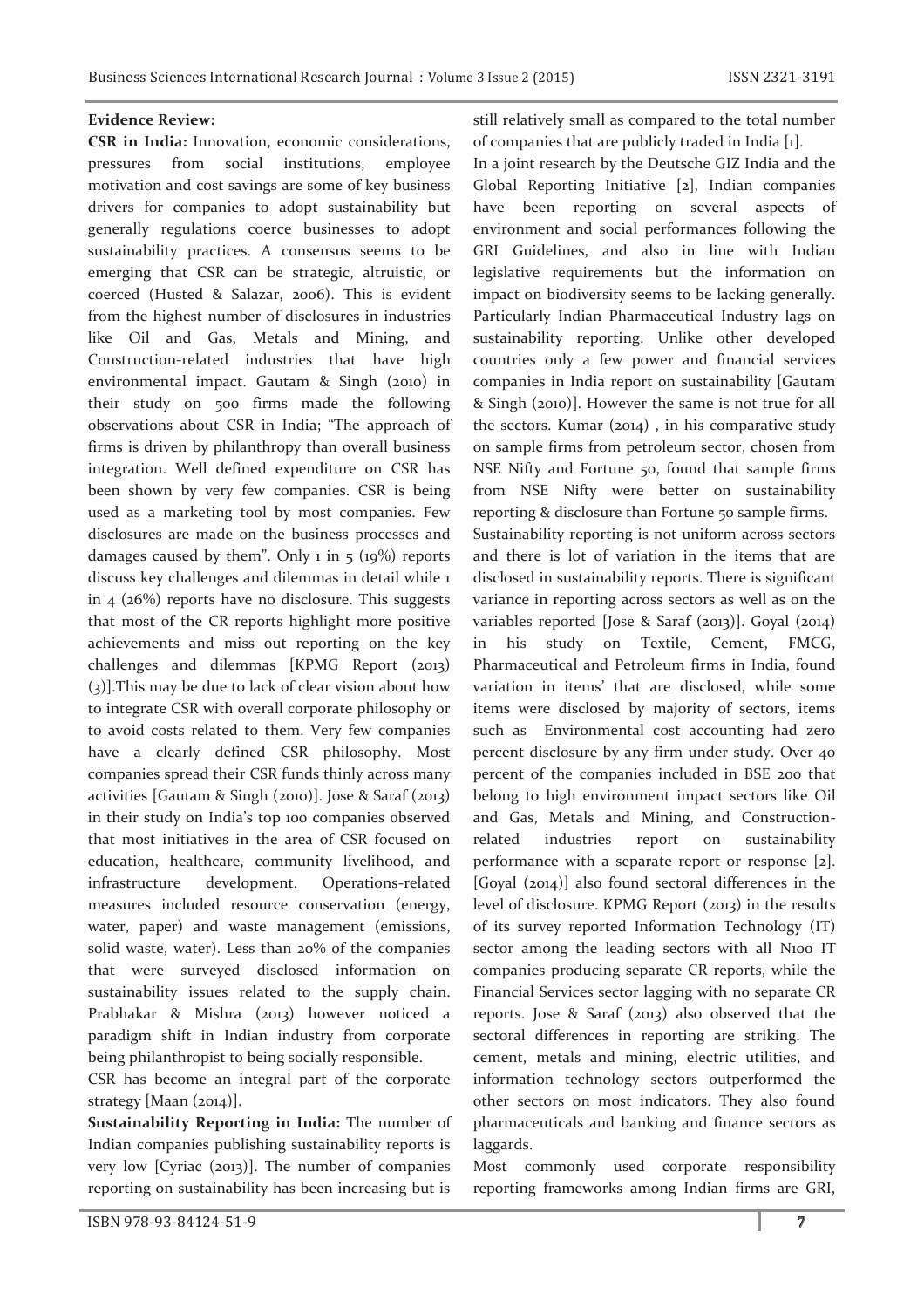#### **Evidence Review:**

**CSR in India:** Innovation, economic considerations, pressures from social institutions, employee motivation and cost savings are some of key business drivers for companies to adopt sustainability but generally regulations coerce businesses to adopt sustainability practices. A consensus seems to be emerging that CSR can be strategic, altruistic, or coerced (Husted & Salazar, 2006). This is evident from the highest number of disclosures in industries like Oil and Gas, Metals and Mining, and Construction-related industries that have high environmental impact. Gautam & Singh (2010) in their study on 500 firms made the following observations about CSR in India; "The approach of firms is driven by philanthropy than overall business integration. Well defined expenditure on CSR has been shown by very few companies. CSR is being used as a marketing tool by most companies. Few disclosures are made on the business processes and damages caused by them". Only 1 in  $5 \times (19\%)$  reports discuss key challenges and dilemmas in detail while 1 in 4 (26%) reports have no disclosure. This suggests that most of the CR reports highlight more positive achievements and miss out reporting on the key challenges and dilemmas [KPMG Report (2013) (3)].This may be due to lack of clear vision about how to integrate CSR with overall corporate philosophy or to avoid costs related to them. Very few companies have a clearly defined CSR philosophy. Most companies spread their CSR funds thinly across many activities [Gautam & Singh (2010)]. Jose & Saraf (2013) in their study on India's top 100 companies observed that most initiatives in the area of CSR focused on education, healthcare, community livelihood, and infrastructure development. Operations-related measures included resource conservation (energy, water, paper) and waste management (emissions, solid waste, water). Less than 20% of the companies that were surveyed disclosed information on sustainability issues related to the supply chain. Prabhakar & Mishra (2013) however noticed a paradigm shift in Indian industry from corporate being philanthropist to being socially responsible.

CSR has become an integral part of the corporate strategy [Maan (2014)].

**Sustainability Reporting in India:** The number of Indian companies publishing sustainability reports is very low [Cyriac (2013)]. The number of companies reporting on sustainability has been increasing but is

still relatively small as compared to the total number of companies that are publicly traded in India [1].

In a joint research by the Deutsche GIZ India and the Global Reporting Initiative [2], Indian companies have been reporting on several aspects of environment and social performances following the GRI Guidelines, and also in line with Indian legislative requirements but the information on impact on biodiversity seems to be lacking generally. Particularly Indian Pharmaceutical Industry lags on sustainability reporting. Unlike other developed countries only a few power and financial services companies in India report on sustainability [Gautam & Singh (2010)]. However the same is not true for all the sectors. Kumar (2014) , in his comparative study on sample firms from petroleum sector, chosen from NSE Nifty and Fortune 50, found that sample firms from NSE Nifty were better on sustainability reporting & disclosure than Fortune 50 sample firms. Sustainability reporting is not uniform across sectors and there is lot of variation in the items that are disclosed in sustainability reports. There is significant variance in reporting across sectors as well as on the variables reported [Jose & Saraf (2013)]. Goyal (2014) in his study on Textile, Cement, FMCG, Pharmaceutical and Petroleum firms in India, found variation in items' that are disclosed, while some items were disclosed by majority of sectors, items such as Environmental cost accounting had zero percent disclosure by any firm under study. Over 40 percent of the companies included in BSE 200 that belong to high environment impact sectors like Oil and Gas, Metals and Mining, and Constructionrelated industries report on sustainability performance with a separate report or response [2]. [Goyal (2014)] also found sectoral differences in the level of disclosure. KPMG Report (2013) in the results of its survey reported Information Technology (IT) sector among the leading sectors with all N100 IT companies producing separate CR reports, while the Financial Services sector lagging with no separate CR reports. Jose & Saraf (2013) also observed that the sectoral differences in reporting are striking. The cement, metals and mining, electric utilities, and information technology sectors outperformed the other sectors on most indicators. They also found pharmaceuticals and banking and finance sectors as laggards.

Most commonly used corporate responsibility reporting frameworks among Indian firms are GRI,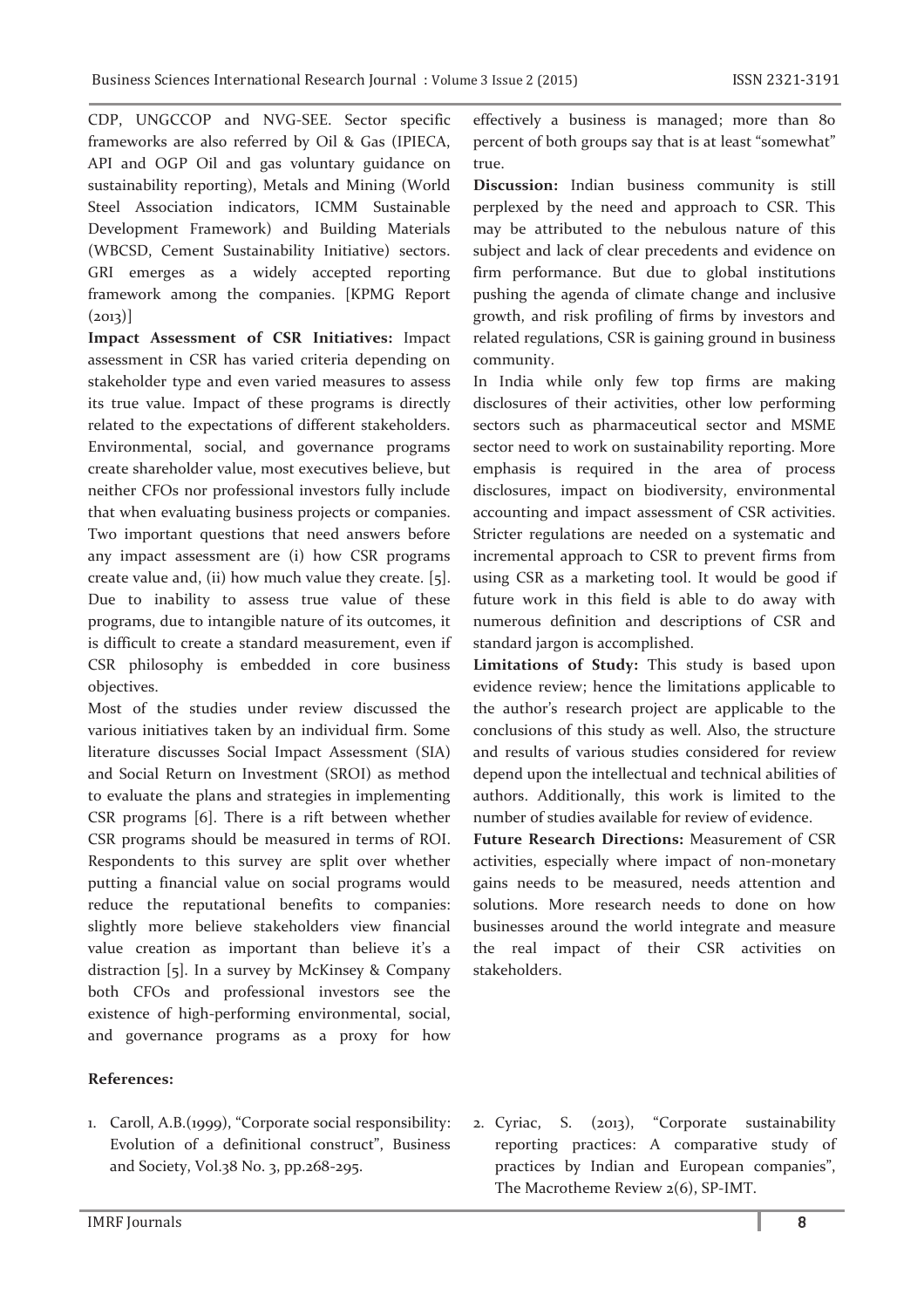CDP, UNGCCOP and NVG-SEE. Sector specific frameworks are also referred by Oil & Gas (IPIECA, API and OGP Oil and gas voluntary guidance on sustainability reporting), Metals and Mining (World Steel Association indicators, ICMM Sustainable Development Framework) and Building Materials (WBCSD, Cement Sustainability Initiative) sectors. GRI emerges as a widely accepted reporting framework among the companies. [KPMG Report  $(2013)$ ]

**Impact Assessment of CSR Initiatives:** Impact assessment in CSR has varied criteria depending on stakeholder type and even varied measures to assess its true value. Impact of these programs is directly related to the expectations of different stakeholders. Environmental, social, and governance programs create shareholder value, most executives believe, but neither CFOs nor professional investors fully include that when evaluating business projects or companies. Two important questions that need answers before any impact assessment are (i) how CSR programs create value and, (ii) how much value they create. [5]. Due to inability to assess true value of these programs, due to intangible nature of its outcomes, it is difficult to create a standard measurement, even if CSR philosophy is embedded in core business objectives.

Most of the studies under review discussed the various initiatives taken by an individual firm. Some literature discusses Social Impact Assessment (SIA) and Social Return on Investment (SROI) as method to evaluate the plans and strategies in implementing CSR programs [6]. There is a rift between whether CSR programs should be measured in terms of ROI. Respondents to this survey are split over whether putting a financial value on social programs would reduce the reputational benefits to companies: slightly more believe stakeholders view financial value creation as important than believe it's a distraction [5]. In a survey by McKinsey & Company both CFOs and professional investors see the existence of high-performing environmental, social, and governance programs as a proxy for how

### **References:**

1. Caroll, A.B.(1999), "Corporate social responsibility: Evolution of a definitional construct", Business and Society, Vol.38 No. 3, pp.268-295.

effectively a business is managed; more than 80 percent of both groups say that is at least "somewhat" true.

**Discussion:** Indian business community is still perplexed by the need and approach to CSR. This may be attributed to the nebulous nature of this subject and lack of clear precedents and evidence on firm performance. But due to global institutions pushing the agenda of climate change and inclusive growth, and risk profiling of firms by investors and related regulations, CSR is gaining ground in business community.

In India while only few top firms are making disclosures of their activities, other low performing sectors such as pharmaceutical sector and MSME sector need to work on sustainability reporting. More emphasis is required in the area of process disclosures, impact on biodiversity, environmental accounting and impact assessment of CSR activities. Stricter regulations are needed on a systematic and incremental approach to CSR to prevent firms from using CSR as a marketing tool. It would be good if future work in this field is able to do away with numerous definition and descriptions of CSR and standard jargon is accomplished.

**Limitations of Study:** This study is based upon evidence review; hence the limitations applicable to the author's research project are applicable to the conclusions of this study as well. Also, the structure and results of various studies considered for review depend upon the intellectual and technical abilities of authors. Additionally, this work is limited to the number of studies available for review of evidence.

**Future Research Directions:** Measurement of CSR activities, especially where impact of non-monetary gains needs to be measured, needs attention and solutions. More research needs to done on how businesses around the world integrate and measure the real impact of their CSR activities on stakeholders.

2. Cyriac, S. (2013), "Corporate sustainability reporting practices: A comparative study of practices by Indian and European companies", The Macrotheme Review 2(6), SP-IMT.